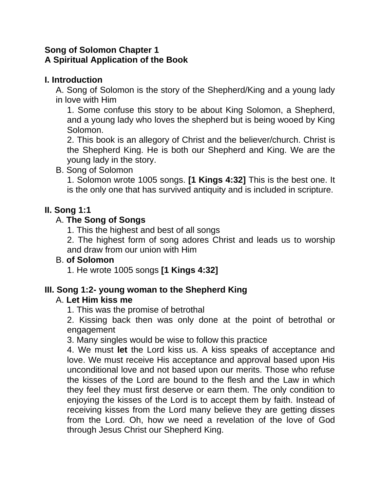# **Song of Solomon Chapter 1 A Spiritual Application of the Book**

# **I. Introduction**

A. Song of Solomon is the story of the Shepherd/King and a young lady in love with Him

1. Some confuse this story to be about King Solomon, a Shepherd, and a young lady who loves the shepherd but is being wooed by King Solomon.

2. This book is an allegory of Christ and the believer/church. Christ is the Shepherd King. He is both our Shepherd and King. We are the young lady in the story.

# B. Song of Solomon

1. Solomon wrote 1005 songs. **[1 Kings 4:32]** This is the best one. It is the only one that has survived antiquity and is included in scripture.

# **II. Song 1:1**

# A. **The Song of Songs**

1. This the highest and best of all songs

2. The highest form of song adores Christ and leads us to worship and draw from our union with Him

### B. **of Solomon**

1. He wrote 1005 songs **[1 Kings 4:32]**

# **III. Song 1:2- young woman to the Shepherd King**

### A. **Let Him kiss me**

1. This was the promise of betrothal

2. Kissing back then was only done at the point of betrothal or engagement

3. Many singles would be wise to follow this practice

4. We must **let** the Lord kiss us. A kiss speaks of acceptance and love. We must receive His acceptance and approval based upon His unconditional love and not based upon our merits. Those who refuse the kisses of the Lord are bound to the flesh and the Law in which they feel they must first deserve or earn them. The only condition to enjoying the kisses of the Lord is to accept them by faith. Instead of receiving kisses from the Lord many believe they are getting disses from the Lord. Oh, how we need a revelation of the love of God through Jesus Christ our Shepherd King.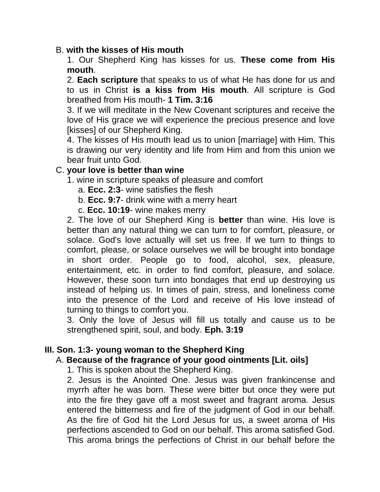#### B. **with the kisses of His mouth**

1. Our Shepherd King has kisses for us. **These come from His mouth**.

2. **Each scripture** that speaks to us of what He has done for us and to us in Christ **is a kiss from His mouth**. All scripture is God breathed from His mouth- **1 Tim. 3:16**

3. If we will meditate in the New Covenant scriptures and receive the love of His grace we will experience the precious presence and love [kisses] of our Shepherd King.

4. The kisses of His mouth lead us to union [marriage] with Him. This is drawing our very identity and life from Him and from this union we bear fruit unto God.

#### C. **your love is better than wine**

1. wine in scripture speaks of pleasure and comfort

- a. **Ecc. 2:3** wine satisfies the flesh
- b. **Ecc. 9:7** drink wine with a merry heart
- c. **Ecc. 10:19** wine makes merry

2. The love of our Shepherd King is **better** than wine. His love is better than any natural thing we can turn to for comfort, pleasure, or solace. God's love actually will set us free. If we turn to things to comfort, please, or solace ourselves we will be brought into bondage in short order. People go to food, alcohol, sex, pleasure, entertainment, etc. in order to find comfort, pleasure, and solace. However, these soon turn into bondages that end up destroying us instead of helping us. In times of pain, stress, and loneliness come into the presence of the Lord and receive of His love instead of turning to things to comfort you.

3. Only the love of Jesus will fill us totally and cause us to be strengthened spirit, soul, and body. **Eph. 3:19**

### **III. Son. 1:3- young woman to the Shepherd King**

### A. **Because of the fragrance of your good ointments [Lit. oils]**

1. This is spoken about the Shepherd King.

2. Jesus is the Anointed One. Jesus was given frankincense and myrrh after he was born. These were bitter but once they were put into the fire they gave off a most sweet and fragrant aroma. Jesus entered the bitterness and fire of the judgment of God in our behalf. As the fire of God hit the Lord Jesus for us, a sweet aroma of His perfections ascended to God on our behalf. This aroma satisfied God. This aroma brings the perfections of Christ in our behalf before the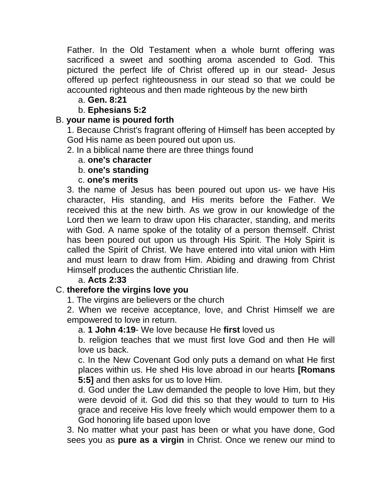Father. In the Old Testament when a whole burnt offering was sacrificed a sweet and soothing aroma ascended to God. This pictured the perfect life of Christ offered up in our stead- Jesus offered up perfect righteousness in our stead so that we could be accounted righteous and then made righteous by the new birth

# a. **Gen. 8:21**

### b. **Ephesians 5:2**

## B. **your name is poured forth**

1. Because Christ's fragrant offering of Himself has been accepted by God His name as been poured out upon us.

- 2. In a biblical name there are three things found
	- a. **one's character**

### b. **one's standing**

### c. **one's merits**

3. the name of Jesus has been poured out upon us- we have His character, His standing, and His merits before the Father. We received this at the new birth. As we grow in our knowledge of the Lord then we learn to draw upon His character, standing, and merits with God. A name spoke of the totality of a person themself. Christ has been poured out upon us through His Spirit. The Holy Spirit is called the Spirit of Christ. We have entered into vital union with Him and must learn to draw from Him. Abiding and drawing from Christ Himself produces the authentic Christian life.

### a. **Acts 2:33**

# C. **therefore the virgins love you**

1. The virgins are believers or the church

2. When we receive acceptance, love, and Christ Himself we are empowered to love in return.

### a. **1 John 4:19**- We love because He **first** loved us

b. religion teaches that we must first love God and then He will love us back.

c. In the New Covenant God only puts a demand on what He first places within us. He shed His love abroad in our hearts **[Romans 5:5]** and then asks for us to love Him.

d. God under the Law demanded the people to love Him, but they were devoid of it. God did this so that they would to turn to His grace and receive His love freely which would empower them to a God honoring life based upon love

3. No matter what your past has been or what you have done, God sees you as **pure as a virgin** in Christ. Once we renew our mind to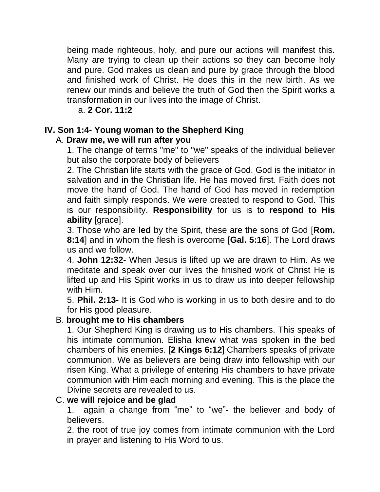being made righteous, holy, and pure our actions will manifest this. Many are trying to clean up their actions so they can become holy and pure. God makes us clean and pure by grace through the blood and finished work of Christ. He does this in the new birth. As we renew our minds and believe the truth of God then the Spirit works a transformation in our lives into the image of Christ.

a. **2 Cor. 11:2**

# **IV. Son 1:4- Young woman to the Shepherd King**

# A. **Draw me, we will run after you**

1. The change of terms "me" to "we" speaks of the individual believer but also the corporate body of believers

2. The Christian life starts with the grace of God. God is the initiator in salvation and in the Christian life. He has moved first. Faith does not move the hand of God. The hand of God has moved in redemption and faith simply responds. We were created to respond to God. This is our responsibility. **Responsibility** for us is to **respond to His ability** [grace].

3. Those who are **led** by the Spirit, these are the sons of God [**Rom. 8:14**] and in whom the flesh is overcome [**Gal. 5:16**]. The Lord draws us and we follow.

4. **John 12:32**- When Jesus is lifted up we are drawn to Him. As we meditate and speak over our lives the finished work of Christ He is lifted up and His Spirit works in us to draw us into deeper fellowship with Him.

5. **Phil. 2:13**- It is God who is working in us to both desire and to do for His good pleasure.

# B. **brought me to His chambers**

1. Our Shepherd King is drawing us to His chambers. This speaks of his intimate communion. Elisha knew what was spoken in the bed chambers of his enemies. [**2 Kings 6:12**] Chambers speaks of private communion. We as believers are being draw into fellowship with our risen King. What a privilege of entering His chambers to have private communion with Him each morning and evening. This is the place the Divine secrets are revealed to us.

# C. **we will rejoice and be glad**

1. again a change from "me" to "we"- the believer and body of believers.

2. the root of true joy comes from intimate communion with the Lord in prayer and listening to His Word to us.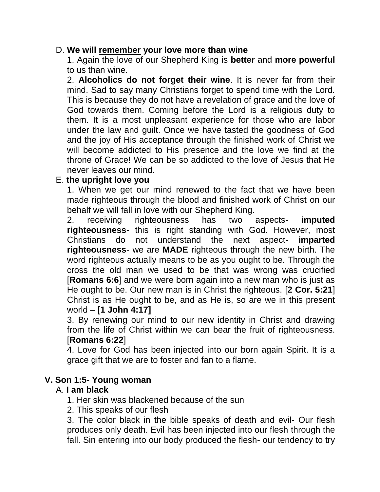#### D. **We will remember your love more than wine**

1. Again the love of our Shepherd King is **better** and **more powerful** to us than wine.

2. **Alcoholics do not forget their wine**. It is never far from their mind. Sad to say many Christians forget to spend time with the Lord. This is because they do not have a revelation of grace and the love of God towards them. Coming before the Lord is a religious duty to them. It is a most unpleasant experience for those who are labor under the law and guilt. Once we have tasted the goodness of God and the joy of His acceptance through the finished work of Christ we will become addicted to His presence and the love we find at the throne of Grace! We can be so addicted to the love of Jesus that He never leaves our mind.

#### E. **the upright love you**

1. When we get our mind renewed to the fact that we have been made righteous through the blood and finished work of Christ on our behalf we will fall in love with our Shepherd King.

2. receiving righteousness has two aspects- **imputed righteousness**- this is right standing with God. However, most Christians do not understand the next aspect- **imparted righteousness**- we are **MADE** righteous through the new birth. The word righteous actually means to be as you ought to be. Through the cross the old man we used to be that was wrong was crucified [**Romans 6:6**] and we were born again into a new man who is just as He ought to be. Our new man is in Christ the righteous. [**2 Cor. 5:21**] Christ is as He ought to be, and as He is, so are we in this present world – **[1 John 4:17]**

3. By renewing our mind to our new identity in Christ and drawing from the life of Christ within we can bear the fruit of righteousness. [**Romans 6:22**]

4. Love for God has been injected into our born again Spirit. It is a grace gift that we are to foster and fan to a flame.

#### **V. Son 1:5- Young woman**

#### A. **I am black**

- 1. Her skin was blackened because of the sun
- 2. This speaks of our flesh

3. The color black in the bible speaks of death and evil- Our flesh produces only death. Evil has been injected into our flesh through the fall. Sin entering into our body produced the flesh- our tendency to try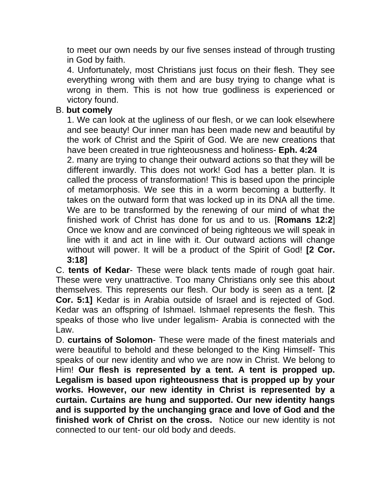to meet our own needs by our five senses instead of through trusting in God by faith.

4. Unfortunately, most Christians just focus on their flesh. They see everything wrong with them and are busy trying to change what is wrong in them. This is not how true godliness is experienced or victory found.

# B. **but comely**

1. We can look at the ugliness of our flesh, or we can look elsewhere and see beauty! Our inner man has been made new and beautiful by the work of Christ and the Spirit of God. We are new creations that have been created in true righteousness and holiness- **Eph. 4:24**

2. many are trying to change their outward actions so that they will be different inwardly. This does not work! God has a better plan. It is called the process of transformation! This is based upon the principle of metamorphosis. We see this in a worm becoming a butterfly. It takes on the outward form that was locked up in its DNA all the time. We are to be transformed by the renewing of our mind of what the finished work of Christ has done for us and to us. [**Romans 12:2**] Once we know and are convinced of being righteous we will speak in line with it and act in line with it. Our outward actions will change without will power. It will be a product of the Spirit of God! **[2 Cor. 3:18]**

C. **tents of Kedar**- These were black tents made of rough goat hair. These were very unattractive. Too many Christians only see this about themselves. This represents our flesh. Our body is seen as a tent. [**2 Cor. 5:1]** Kedar is in Arabia outside of Israel and is rejected of God. Kedar was an offspring of Ishmael. Ishmael represents the flesh. This speaks of those who live under legalism- Arabia is connected with the Law.

D. **curtains of Solomon**- These were made of the finest materials and were beautiful to behold and these belonged to the King Himself- This speaks of our new identity and who we are now in Christ. We belong to Him! **Our flesh is represented by a tent. A tent is propped up. Legalism is based upon righteousness that is propped up by your works. However, our new identity in Christ is represented by a curtain. Curtains are hung and supported. Our new identity hangs and is supported by the unchanging grace and love of God and the finished work of Christ on the cross.** Notice our new identity is not connected to our tent- our old body and deeds.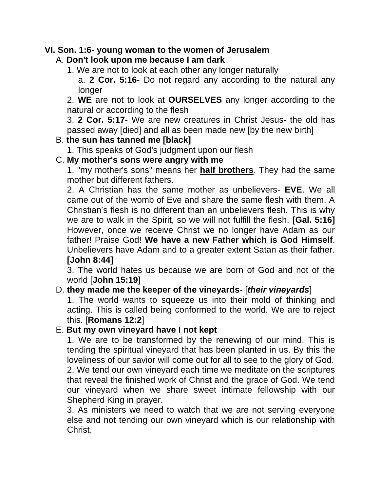### **VI. Son. 1:6- young woman to the women of Jerusalem**

# A. **Don't look upon me because I am dark**

1. We are not to look at each other any longer naturally

a. **2 Cor. 5:16**- Do not regard any according to the natural any longer

2. **WE** are not to look at **OURSELVES** any longer according to the natural or according to the flesh

3. **2 Cor. 5:17**- We are new creatures in Christ Jesus- the old has passed away [died] and all as been made new [by the new birth]

# B. **the sun has tanned me [black]**

1. This speaks of God's judgment upon our flesh

# C. **My mother's sons were angry with me**

1. "my mother's sons" means her **half brothers**. They had the same mother but different fathers.

2. A Christian has the same mother as unbelievers- **EVE**. We all came out of the womb of Eve and share the same flesh with them. A Christian's flesh is no different than an unbelievers flesh. This is why we are to walk in the Spirit, so we will not fulfill the flesh. **[Gal. 5:16]** However, once we receive Christ we no longer have Adam as our father! Praise God! **We have a new Father which is God Himself**. Unbelievers have Adam and to a greater extent Satan as their father. **[John 8:44]**

3. The world hates us because we are born of God and not of the world [**John 15:19**]

### D. **they made me the keeper of the vineyards**- [*their vineyards*]

1. The world wants to squeeze us into their mold of thinking and acting. This is called being conformed to the world. We are to reject this. [**Romans 12:2**]

### E. **But my own vineyard have I not kept**

1. We are to be transformed by the renewing of our mind. This is tending the spiritual vineyard that has been planted in us. By this the loveliness of our savior will come out for all to see to the glory of God. 2. We tend our own vineyard each time we meditate on the scriptures that reveal the finished work of Christ and the grace of God. We tend our vineyard when we share sweet intimate fellowship with our Shepherd King in prayer.

3. As ministers we need to watch that we are not serving everyone else and not tending our own vineyard which is our relationship with Christ.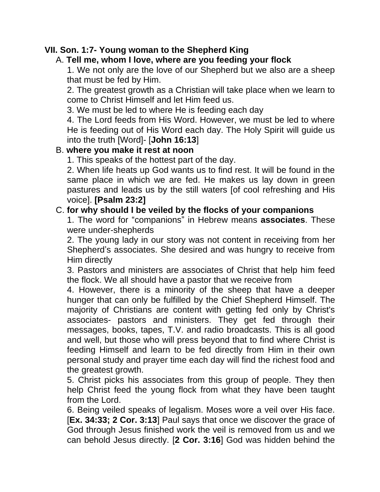## **VII. Son. 1:7- Young woman to the Shepherd King**

# A. **Tell me, whom I love, where are you feeding your flock**

1. We not only are the love of our Shepherd but we also are a sheep that must be fed by Him.

2. The greatest growth as a Christian will take place when we learn to come to Christ Himself and let Him feed us.

3. We must be led to where He is feeding each day

4. The Lord feeds from His Word. However, we must be led to where He is feeding out of His Word each day. The Holy Spirit will guide us into the truth [Word]- [**John 16:13**]

### B. **where you make it rest at noon**

1. This speaks of the hottest part of the day.

2. When life heats up God wants us to find rest. It will be found in the same place in which we are fed. He makes us lay down in green pastures and leads us by the still waters [of cool refreshing and His voice]. **[Psalm 23:2]**

# C. **for why should I be veiled by the flocks of your companions**

1. The word for "companions" in Hebrew means **associates**. These were under-shepherds

2. The young lady in our story was not content in receiving from her Shepherd's associates. She desired and was hungry to receive from Him directly

3. Pastors and ministers are associates of Christ that help him feed the flock. We all should have a pastor that we receive from

4. However, there is a minority of the sheep that have a deeper hunger that can only be fulfilled by the Chief Shepherd Himself. The majority of Christians are content with getting fed only by Christ's associates- pastors and ministers. They get fed through their messages, books, tapes, T.V. and radio broadcasts. This is all good and well, but those who will press beyond that to find where Christ is feeding Himself and learn to be fed directly from Him in their own personal study and prayer time each day will find the richest food and the greatest growth.

5. Christ picks his associates from this group of people. They then help Christ feed the young flock from what they have been taught from the Lord.

6. Being veiled speaks of legalism. Moses wore a veil over His face. [**Ex. 34:33; 2 Cor. 3:13**] Paul says that once we discover the grace of God through Jesus finished work the veil is removed from us and we can behold Jesus directly. [**2 Cor. 3:16**] God was hidden behind the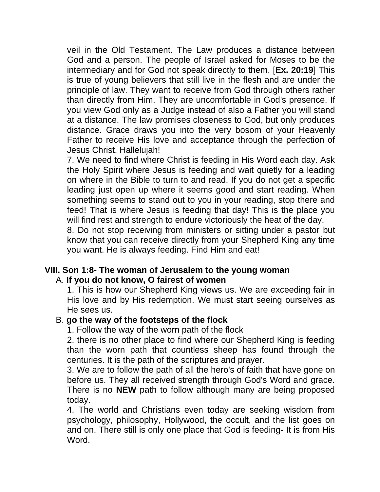veil in the Old Testament. The Law produces a distance between God and a person. The people of Israel asked for Moses to be the intermediary and for God not speak directly to them. [**Ex. 20:19**] This is true of young believers that still live in the flesh and are under the principle of law. They want to receive from God through others rather than directly from Him. They are uncomfortable in God's presence. If you view God only as a Judge instead of also a Father you will stand at a distance. The law promises closeness to God, but only produces distance. Grace draws you into the very bosom of your Heavenly Father to receive His love and acceptance through the perfection of Jesus Christ. Hallelujah!

7. We need to find where Christ is feeding in His Word each day. Ask the Holy Spirit where Jesus is feeding and wait quietly for a leading on where in the Bible to turn to and read. If you do not get a specific leading just open up where it seems good and start reading. When something seems to stand out to you in your reading, stop there and feed! That is where Jesus is feeding that day! This is the place you will find rest and strength to endure victoriously the heat of the day.

8. Do not stop receiving from ministers or sitting under a pastor but know that you can receive directly from your Shepherd King any time you want. He is always feeding. Find Him and eat!

#### **VIII. Son 1:8- The woman of Jerusalem to the young woman** A. **If you do not know, O fairest of women**

1. This is how our Shepherd King views us. We are exceeding fair in His love and by His redemption. We must start seeing ourselves as He sees us.

### B. **go the way of the footsteps of the flock**

1. Follow the way of the worn path of the flock

2. there is no other place to find where our Shepherd King is feeding than the worn path that countless sheep has found through the centuries. It is the path of the scriptures and prayer.

3. We are to follow the path of all the hero's of faith that have gone on before us. They all received strength through God's Word and grace. There is no **NEW** path to follow although many are being proposed today.

4. The world and Christians even today are seeking wisdom from psychology, philosophy, Hollywood, the occult, and the list goes on and on. There still is only one place that God is feeding- It is from His Word.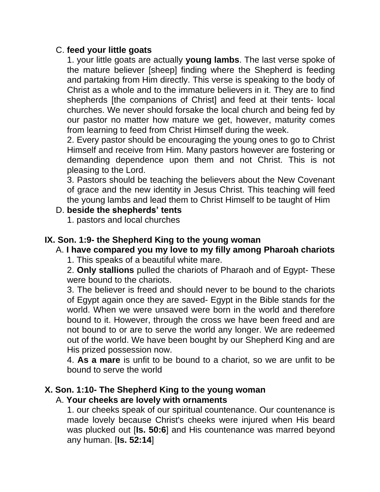### C. **feed your little goats**

1. your little goats are actually **young lambs**. The last verse spoke of the mature believer [sheep] finding where the Shepherd is feeding and partaking from Him directly. This verse is speaking to the body of Christ as a whole and to the immature believers in it. They are to find shepherds [the companions of Christ] and feed at their tents- local churches. We never should forsake the local church and being fed by our pastor no matter how mature we get, however, maturity comes from learning to feed from Christ Himself during the week.

2. Every pastor should be encouraging the young ones to go to Christ Himself and receive from Him. Many pastors however are fostering or demanding dependence upon them and not Christ. This is not pleasing to the Lord.

3. Pastors should be teaching the believers about the New Covenant of grace and the new identity in Jesus Christ. This teaching will feed the young lambs and lead them to Christ Himself to be taught of Him

## D. **beside the shepherds' tents**

1. pastors and local churches

# **IX. Son. 1:9- the Shepherd King to the young woman**

### A. **I have compared you my love to my filly among Pharoah chariots**

1. This speaks of a beautiful white mare.

2. **Only stallions** pulled the chariots of Pharaoh and of Egypt- These were bound to the chariots.

3. The believer is freed and should never to be bound to the chariots of Egypt again once they are saved- Egypt in the Bible stands for the world. When we were unsaved were born in the world and therefore bound to it. However, through the cross we have been freed and are not bound to or are to serve the world any longer. We are redeemed out of the world. We have been bought by our Shepherd King and are His prized possession now.

4. **As a mare** is unfit to be bound to a chariot, so we are unfit to be bound to serve the world

# **X. Son. 1:10- The Shepherd King to the young woman**

### A. **Your cheeks are lovely with ornaments**

1. our cheeks speak of our spiritual countenance. Our countenance is made lovely because Christ's cheeks were injured when His beard was plucked out [**Is. 50:6**] and His countenance was marred beyond any human. [**Is. 52:14**]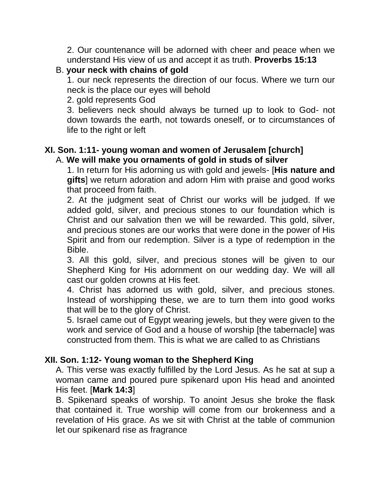2. Our countenance will be adorned with cheer and peace when we understand His view of us and accept it as truth. **Proverbs 15:13**

# B. **your neck with chains of gold**

1. our neck represents the direction of our focus. Where we turn our neck is the place our eyes will behold

2. gold represents God

3. believers neck should always be turned up to look to God- not down towards the earth, not towards oneself, or to circumstances of life to the right or left

# **XI. Son. 1:11- young woman and women of Jerusalem [church]** A. **We will make you ornaments of gold in studs of silver**

1. In return for His adorning us with gold and jewels- [**His nature and gifts**] we return adoration and adorn Him with praise and good works that proceed from faith.

2. At the judgment seat of Christ our works will be judged. If we added gold, silver, and precious stones to our foundation which is Christ and our salvation then we will be rewarded. This gold, silver, and precious stones are our works that were done in the power of His Spirit and from our redemption. Silver is a type of redemption in the Bible.

3. All this gold, silver, and precious stones will be given to our Shepherd King for His adornment on our wedding day. We will all cast our golden crowns at His feet.

4. Christ has adorned us with gold, silver, and precious stones. Instead of worshipping these, we are to turn them into good works that will be to the glory of Christ.

5. Israel came out of Egypt wearing jewels, but they were given to the work and service of God and a house of worship [the tabernacle] was constructed from them. This is what we are called to as Christians

# **XII. Son. 1:12- Young woman to the Shepherd King**

A. This verse was exactly fulfilled by the Lord Jesus. As he sat at sup a woman came and poured pure spikenard upon His head and anointed His feet. [**Mark 14:3**]

B. Spikenard speaks of worship. To anoint Jesus she broke the flask that contained it. True worship will come from our brokenness and a revelation of His grace. As we sit with Christ at the table of communion let our spikenard rise as fragrance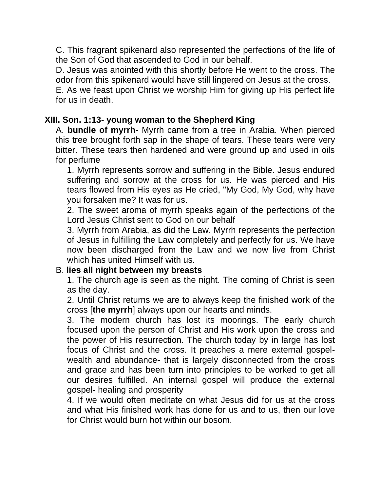C. This fragrant spikenard also represented the perfections of the life of the Son of God that ascended to God in our behalf.

D. Jesus was anointed with this shortly before He went to the cross. The odor from this spikenard would have still lingered on Jesus at the cross. E. As we feast upon Christ we worship Him for giving up His perfect life for us in death.

# **XIII. Son. 1:13- young woman to the Shepherd King**

A. **bundle of myrrh**- Myrrh came from a tree in Arabia. When pierced this tree brought forth sap in the shape of tears. These tears were very bitter. These tears then hardened and were ground up and used in oils for perfume

1. Myrrh represents sorrow and suffering in the Bible. Jesus endured suffering and sorrow at the cross for us. He was pierced and His tears flowed from His eyes as He cried, "My God, My God, why have you forsaken me? It was for us.

2. The sweet aroma of myrrh speaks again of the perfections of the Lord Jesus Christ sent to God on our behalf

3. Myrrh from Arabia, as did the Law. Myrrh represents the perfection of Jesus in fulfilling the Law completely and perfectly for us. We have now been discharged from the Law and we now live from Christ which has united Himself with us.

### B. **lies all night between my breasts**

1. The church age is seen as the night. The coming of Christ is seen as the day.

2. Until Christ returns we are to always keep the finished work of the cross [**the myrrh**] always upon our hearts and minds.

3. The modern church has lost its moorings. The early church focused upon the person of Christ and His work upon the cross and the power of His resurrection. The church today by in large has lost focus of Christ and the cross. It preaches a mere external gospelwealth and abundance- that is largely disconnected from the cross and grace and has been turn into principles to be worked to get all our desires fulfilled. An internal gospel will produce the external gospel- healing and prosperity

4. If we would often meditate on what Jesus did for us at the cross and what His finished work has done for us and to us, then our love for Christ would burn hot within our bosom.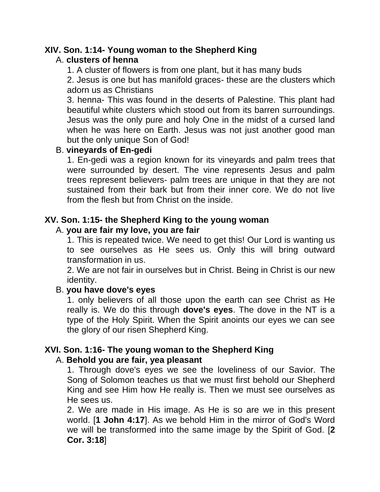### **XIV. Son. 1:14- Young woman to the Shepherd King**

# A. **clusters of henna**

1. A cluster of flowers is from one plant, but it has many buds

2. Jesus is one but has manifold graces- these are the clusters which adorn us as Christians

3. henna- This was found in the deserts of Palestine. This plant had beautiful white clusters which stood out from its barren surroundings. Jesus was the only pure and holy One in the midst of a cursed land when he was here on Earth. Jesus was not just another good man but the only unique Son of God!

### B. **vineyards of En-gedi**

1. En-gedi was a region known for its vineyards and palm trees that were surrounded by desert. The vine represents Jesus and palm trees represent believers- palm trees are unique in that they are not sustained from their bark but from their inner core. We do not live from the flesh but from Christ on the inside.

# **XV. Son. 1:15- the Shepherd King to the young woman**

### A. **you are fair my love, you are fair**

1. This is repeated twice. We need to get this! Our Lord is wanting us to see ourselves as He sees us. Only this will bring outward transformation in us.

2. We are not fair in ourselves but in Christ. Being in Christ is our new identity.

### B. **you have dove's eyes**

1. only believers of all those upon the earth can see Christ as He really is. We do this through **dove's eyes**. The dove in the NT is a type of the Holy Spirit. When the Spirit anoints our eyes we can see the glory of our risen Shepherd King.

# **XVI. Son. 1:16- The young woman to the Shepherd King**

### A. **Behold you are fair, yea pleasant**

1. Through dove's eyes we see the loveliness of our Savior. The Song of Solomon teaches us that we must first behold our Shepherd King and see Him how He really is. Then we must see ourselves as He sees us.

2. We are made in His image. As He is so are we in this present world. [**1 John 4:17**]. As we behold Him in the mirror of God's Word we will be transformed into the same image by the Spirit of God. [**2 Cor. 3:18**]